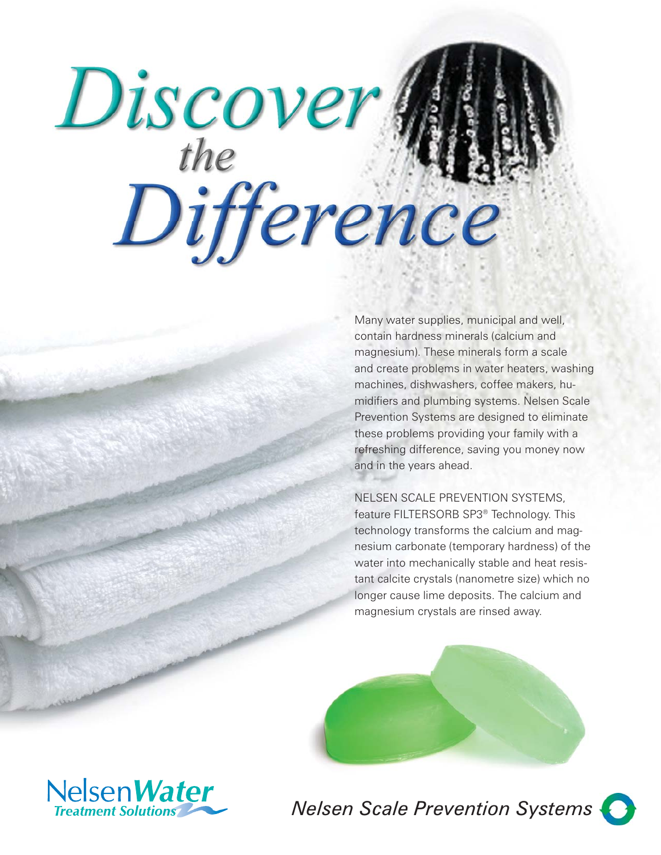# Discover Man

Many water supplies, municipal and well, contain hardness minerals (calcium and magnesium). These minerals form a scale and create problems in water heaters, washing machines, dishwashers, coffee makers, humidifiers and plumbing systems. Nelsen Scale Prevention Systems are designed to eliminate these problems providing your family with a refreshing difference, saving you money now and in the years ahead.

### NELSEN SCALE PREVENTION SYSTEMS, feature FILTERSORB SP3® Technology. This technology transforms the calcium and magnesium carbonate (temporary hardness) of the water into mechanically stable and heat resistant calcite crystals (nanometre size) which no longer cause lime deposits. The calcium and magnesium crystals are rinsed away.



*Nelsen Scale Prevention Systems*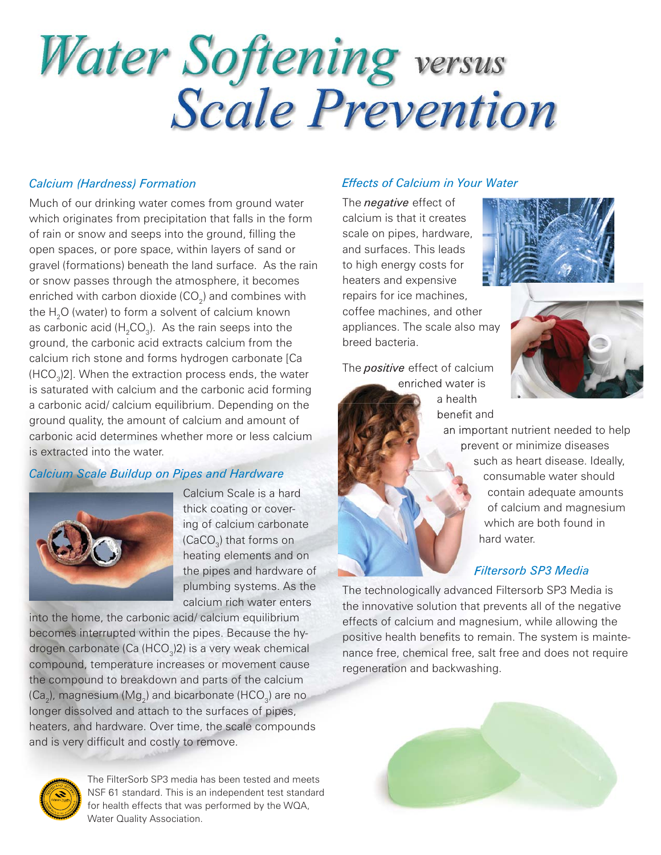## Water Softening versus<br>Scale Prevention

### *Calcium (Hardness) Formation*

Much of our drinking water comes from ground water which originates from precipitation that falls in the form of rain or snow and seeps into the ground, filling the open spaces, or pore space, within layers of sand or gravel (formations) beneath the land surface. As the rain or snow passes through the atmosphere, it becomes enriched with carbon dioxide (CO $_{\textrm{\tiny{2}}})$  and combines with the  ${\sf H}_{\mathfrak{z}}{\sf O}$  (water) to form a solvent of calcium known as carbonic acid (H $_{\textrm{\tiny{2}}}$ CO $_{\textrm{\tiny{3}}}$ ). As the rain seeps into the ground, the carbonic acid extracts calcium from the calcium rich stone and forms hydrogen carbonate [Ca (HCO $_{\tiny 3}$ )2]. When the extraction process ends, the water is saturated with calcium and the carbonic acid forming a carbonic acid/ calcium equilibrium. Depending on the ground quality, the amount of calcium and amount of carbonic acid determines whether more or less calcium is extracted into the water.

### *Calcium Scale Buildup on Pipes and Hardware*



Calcium Scale is a hard thick coating or covering of calcium carbonate (CaCO $_{\scriptscriptstyle 3}$ ) that forms on heating elements and on the pipes and hardware of plumbing systems. As the calcium rich water enters

into the home, the carbonic acid/ calcium equilibrium becomes interrupted within the pipes. Because the hydrogen carbonate (Ca (HCO $_{\tiny 3}$ )2) is a very weak chemical compound, temperature increases or movement cause the compound to breakdown and parts of the calcium (Ca $_{_2}$ ), magnesium (Mg $_{2}$ ) and bicarbonate (HCO $_{_3}$ ) are no longer dissolved and attach to the surfaces of pipes, heaters, and hardware. Over time, the scale compounds and is very difficult and costly to remove.

The FilterSorb SP3 media has been tested and meets NSF 61 standard. This is an independent test standard for health effects that was performed by the WQA, Water Quality Association.

### *Effects of Calcium in Your Water*

The *negative* effect of calcium is that it creates scale on pipes, hardware, and surfaces. This leads to high energy costs for heaters and expensive repairs for ice machines, coffee machines, and other appliances. The scale also may breed bacteria.

The *positive* effect of calcium enriched water is

a health benefit and





an important nutrient needed to help prevent or minimize diseases such as heart disease. Ideally, consumable water should contain adequate amounts of calcium and magnesium which are both found in hard water.

### *Filtersorb SP3 Media*

The technologically advanced Filtersorb SP3 Media is the innovative solution that prevents all of the negative effects of calcium and magnesium, while allowing the positive health benefits to remain. The system is maintenance free, chemical free, salt free and does not require regeneration and backwashing.

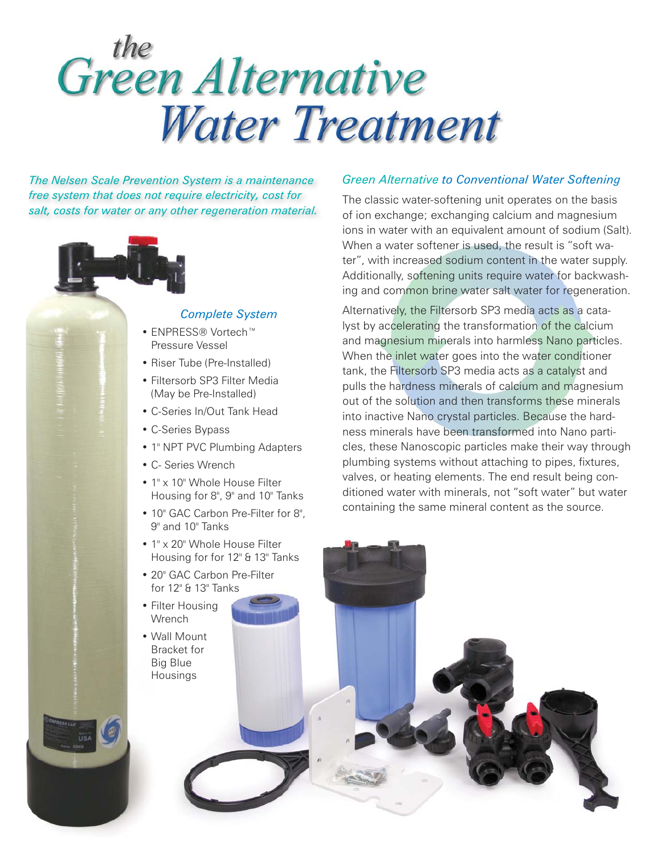### the<br>Green Alternative **Water Treatment**

*The Nelsen Scale Prevention System is a maintenance free system that does not require electricity, cost for salt, costs for water or any other regeneration material.*



### *Complete System*

- ENPRESS® Vortech™ Pressure Vessel
- Riser Tube (Pre-Installed)
- Filtersorb SP3 Filter Media (May be Pre-Installed)
- C-Series In/Out Tank Head
- C-Series Bypass
- 1" NPT PVC Plumbing Adapters
- C- Series Wrench
- 1" x 10" Whole House Filter Housing for 8", 9" and 10" Tanks
- 10" GAC Carbon Pre-Filter for 8", 9" and 10" Tanks
- 1" x 20" Whole House Filter Housing for for 12" & 13" Tanks
- 20" GAC Carbon Pre-Filter for 12" & 13" Tanks
- Filter Housing **Wrench**
- Wall Mount Bracket for Big Blue Housings

### *Green Alternative to Conventional Water Softening*

The classic water-softening unit operates on the basis of ion exchange; exchanging calcium and magnesium ions in water with an equivalent amount of sodium (Salt). When a water softener is used, the result is "soft water", with increased sodium content in the water supply. Additionally, softening units require water for backwashing and common brine water salt water for regeneration.

Alternatively, the Filtersorb SP3 media acts as a catalyst by accelerating the transformation of the calcium and magnesium minerals into harmless Nano particles. When the inlet water goes into the water conditioner tank, the Filtersorb SP3 media acts as a catalyst and pulls the hardness minerals of calcium and magnesium out of the solution and then transforms these minerals into inactive Nano crystal particles. Because the hardness minerals have been transformed into Nano particles, these Nanoscopic particles make their way through plumbing systems without attaching to pipes, fixtures, valves, or heating elements. The end result being conditioned water with minerals, not "soft water" but water containing the same mineral content as the source.